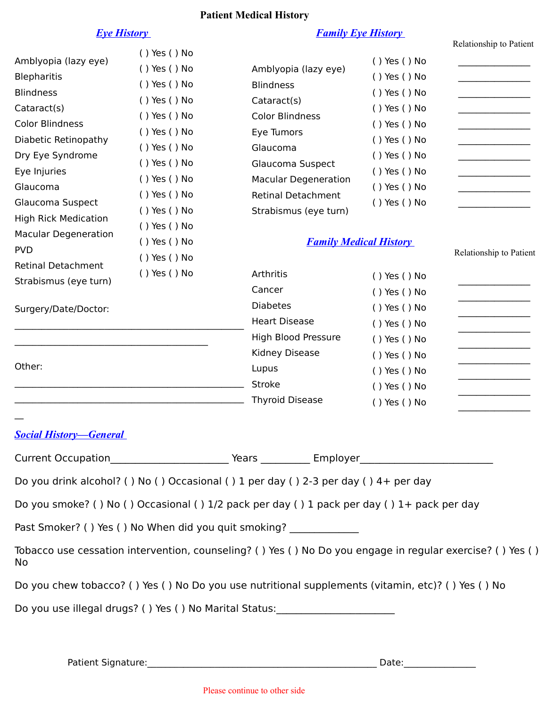# **Patient Medical History**

# *Eye History*

# *Family Eye History*

|                                                                                                                                                                                                                                                                                                                                                               |                                                                                                                                                                                                                                              |                                                                                                                                                                                                                                                                                                        |                                                                                                                                                                                                              | Relationship to Patient |
|---------------------------------------------------------------------------------------------------------------------------------------------------------------------------------------------------------------------------------------------------------------------------------------------------------------------------------------------------------------|----------------------------------------------------------------------------------------------------------------------------------------------------------------------------------------------------------------------------------------------|--------------------------------------------------------------------------------------------------------------------------------------------------------------------------------------------------------------------------------------------------------------------------------------------------------|--------------------------------------------------------------------------------------------------------------------------------------------------------------------------------------------------------------|-------------------------|
| Amblyopia (lazy eye)<br><b>Blepharitis</b><br><b>Blindness</b><br>Cataract(s)<br><b>Color Blindness</b><br>Diabetic Retinopathy<br>Dry Eye Syndrome<br>Eye Injuries<br>Glaucoma<br>Glaucoma Suspect<br><b>High Rick Medication</b><br><b>Macular Degeneration</b><br><b>PVD</b><br><b>Retinal Detachment</b><br>Strabismus (eye turn)<br>Surgery/Date/Doctor: | () Yes () No<br>() Yes () No<br>() Yes () No<br>() Yes () No<br>() Yes () No<br>() Yes () No<br>() Yes () No<br>() Yes () No<br>() Yes () No<br>() Yes () No<br>() Yes () No<br>() Yes () No<br>() Yes () No<br>() Yes () No<br>() Yes () No | Amblyopia (lazy eye)<br><b>Blindness</b><br>Cataract(s)<br><b>Color Blindness</b><br>Eye Tumors<br>Glaucoma<br>Glaucoma Suspect<br><b>Macular Degeneration</b><br><b>Retinal Detachment</b><br>Strabismus (eye turn)<br><b>Family Medical History</b><br><b>Arthritis</b><br>Cancer<br><b>Diabetes</b> | () Yes () No<br>() Yes () No<br>() Yes () No<br>() Yes () No<br>() Yes () No<br>() Yes () No<br>() Yes () No<br>() Yes () No<br>() Yes () No<br>() Yes () No<br>() Yes () No<br>() Yes () No<br>() Yes () No | Relationship to Patient |
|                                                                                                                                                                                                                                                                                                                                                               |                                                                                                                                                                                                                                              | <b>Heart Disease</b>                                                                                                                                                                                                                                                                                   | () Yes () No                                                                                                                                                                                                 |                         |
|                                                                                                                                                                                                                                                                                                                                                               |                                                                                                                                                                                                                                              | High Blood Pressure<br>Kidney Disease                                                                                                                                                                                                                                                                  | () Yes () No                                                                                                                                                                                                 |                         |
| Other:                                                                                                                                                                                                                                                                                                                                                        |                                                                                                                                                                                                                                              | Lupus                                                                                                                                                                                                                                                                                                  | () Yes () No<br>() Yes () No                                                                                                                                                                                 |                         |
|                                                                                                                                                                                                                                                                                                                                                               |                                                                                                                                                                                                                                              | <b>Stroke</b>                                                                                                                                                                                                                                                                                          | () Yes () No                                                                                                                                                                                                 |                         |
|                                                                                                                                                                                                                                                                                                                                                               |                                                                                                                                                                                                                                              | <b>Thyroid Disease</b>                                                                                                                                                                                                                                                                                 | () Yes () No                                                                                                                                                                                                 |                         |
| <b>Social History–General</b>                                                                                                                                                                                                                                                                                                                                 |                                                                                                                                                                                                                                              |                                                                                                                                                                                                                                                                                                        |                                                                                                                                                                                                              |                         |
|                                                                                                                                                                                                                                                                                                                                                               |                                                                                                                                                                                                                                              |                                                                                                                                                                                                                                                                                                        |                                                                                                                                                                                                              |                         |
|                                                                                                                                                                                                                                                                                                                                                               |                                                                                                                                                                                                                                              | Do you drink alcohol? () No () Occasional () 1 per day () 2-3 per day () 4+ per day                                                                                                                                                                                                                    |                                                                                                                                                                                                              |                         |
|                                                                                                                                                                                                                                                                                                                                                               |                                                                                                                                                                                                                                              | Do you smoke? () No () Occasional () 1/2 pack per day () 1 pack per day () 1+ pack per day                                                                                                                                                                                                             |                                                                                                                                                                                                              |                         |
|                                                                                                                                                                                                                                                                                                                                                               |                                                                                                                                                                                                                                              | Past Smoker? () Yes () No When did you quit smoking? ____________                                                                                                                                                                                                                                      |                                                                                                                                                                                                              |                         |
| No                                                                                                                                                                                                                                                                                                                                                            |                                                                                                                                                                                                                                              | Tobacco use cessation intervention, counseling? () Yes () No Do you engage in regular exercise? () Yes ()                                                                                                                                                                                              |                                                                                                                                                                                                              |                         |
|                                                                                                                                                                                                                                                                                                                                                               |                                                                                                                                                                                                                                              | Do you chew tobacco? () Yes () No Do you use nutritional supplements (vitamin, etc)? () Yes () No                                                                                                                                                                                                      |                                                                                                                                                                                                              |                         |
|                                                                                                                                                                                                                                                                                                                                                               |                                                                                                                                                                                                                                              | Do you use illegal drugs? () Yes () No Marital Status: _________________________                                                                                                                                                                                                                       |                                                                                                                                                                                                              |                         |
|                                                                                                                                                                                                                                                                                                                                                               |                                                                                                                                                                                                                                              |                                                                                                                                                                                                                                                                                                        |                                                                                                                                                                                                              |                         |
|                                                                                                                                                                                                                                                                                                                                                               | Patient Signature: Mation Matient Signature:                                                                                                                                                                                                 |                                                                                                                                                                                                                                                                                                        | Date:                                                                                                                                                                                                        |                         |